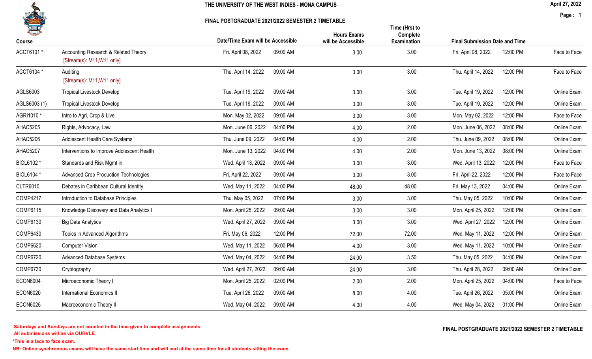

FINAL POSTGRADUATE 2021/2022 SEMESTER 2 TIMETABLE

April 27, 2022

Page : 1

| 一<br>Course     |                                                                    | Date/Time Exam will be Accessible | <b>Hours Exams</b><br>will be Accessible | Time (Hrs) to<br>Complete<br><b>Examination</b> | <b>Final Submission Date and Time</b> |              |
|-----------------|--------------------------------------------------------------------|-----------------------------------|------------------------------------------|-------------------------------------------------|---------------------------------------|--------------|
| ACCT6101*       | Accounting Research & Related Theory<br>[Stream(s): M11, W11 only] | Fri. April 08, 2022<br>09:00 AM   | 3.00                                     | 3.00                                            | 12:00 PM<br>Fri. April 08, 2022       | Face to Face |
| ACCT6104 *      | Auditing<br>[Stream(s): M11, W11 only]                             | Thu. April 14, 2022<br>09:00 AM   | 3.00                                     | 3.00                                            | Thu. April 14, 2022<br>12:00 PM       | Face to Face |
| AGLS6003        | <b>Tropical Livestock Develop</b>                                  | Tue. April 19, 2022<br>09:00 AM   | 3.00                                     | 3.00                                            | Tue. April 19, 2022<br>12:00 PM       | Online Exam  |
| AGLS6003 (1)    | <b>Tropical Livestock Develop</b>                                  | Tue. April 19, 2022<br>09:00 AM   | 3.00                                     | 3.00                                            | Tue. April 19, 2022<br>12:00 PM       | Online Exam  |
| AGRI1010 *      | Intro to Agri, Crop & Live                                         | Mon. May 02, 2022<br>09:00 AM     | 3.00                                     | 3.00                                            | Mon. May 02, 2022<br>12:00 PM         | Face to Face |
| AHAC5205        | Rights, Advocacy, Law                                              | 04:00 PM<br>Mon. June 06, 2022    | 4.00                                     | 2.00                                            | Mon. June 06, 2022<br>08:00 PM        | Online Exam  |
| AHAC5206        | Adolescent Health Care Systems                                     | Thu. June 09, 2022<br>04:00 PM    | 4.00                                     | 2.00                                            | Thu. June 09, 2022<br>08:00 PM        | Online Exam  |
| AHAC5207        | Interventions to Improve Adolescent Health                         | Mon. June 13, 2022<br>04:00 PM    | 4.00                                     | 2.00                                            | Mon. June 13, 2022<br>08:00 PM        | Online Exam  |
| BIOL6102 *      | Standards and Risk Mgmt in                                         | Wed. April 13, 2022<br>09:00 AM   | 3.00                                     | 3.00                                            | Wed. April 13, 2022<br>12:00 PM       | Face to Face |
| BIOL6104 *      | <b>Advanced Crop Production Technologies</b>                       | Fri. April 22, 2022<br>09:00 AM   | 3.00                                     | 3.00                                            | Fri. April 22, 2022<br>12:00 PM       | Face to Face |
| <b>CLTR6010</b> | Debates in Caribbean Cultural Identity                             | 04:00 PM<br>Wed. May 11, 2022     | 48.00                                    | 48.00                                           | Fri. May 13, 2022<br>04:00 PM         | Online Exam  |
| <b>COMP4217</b> | Introduction to Database Principles                                | Thu. May 05, 2022<br>07:00 PM     | 3.00                                     | 3.00                                            | Thu. May 05, 2022<br>10:00 PM         | Online Exam  |
| COMP6115        | Knowledge Discovery and Data Analytics I                           | Mon. April 25, 2022<br>09:00 AM   | 3.00                                     | 3.00                                            | Mon. April 25, 2022<br>12:00 PM       | Online Exam  |
| <b>COMP6130</b> | <b>Big Data Analytics</b>                                          | Wed. April 27, 2022<br>09:00 AM   | 3.00                                     | 3.00                                            | Wed. April 27, 2022<br>12:00 PM       | Online Exam  |
| <b>COMP6430</b> | Topics in Advanced Algorithms                                      | Fri. May 06, 2022<br>12:00 PM     | 72.00                                    | 72.00                                           | Wed. May 11, 2022<br>12:00 PM         | Online Exam  |
| <b>COMP6620</b> | <b>Computer Vision</b>                                             | 06:00 PM<br>Wed. May 11, 2022     | 4.00                                     | 3.00                                            | Wed. May 11, 2022<br>10:00 PM         | Online Exam  |
| <b>COMP6720</b> | <b>Advanced Database Systems</b>                                   | 04:00 PM<br>Wed. May 04, 2022     | 24.00                                    | 3.50                                            | Thu. May 05, 2022<br>04:00 PM         | Online Exam  |
| <b>COMP6730</b> | Cryptography                                                       | Wed. April 27, 2022<br>09:00 AM   | 24.00                                    | 3.00                                            | Thu. April 28, 2022<br>09:00 AM       | Online Exam  |
| <b>ECON6004</b> | Microeconomic Theory I                                             | Mon. April 25, 2022<br>02:00 PM   | 2.00                                     | 2.00                                            | Mon. April 25, 2022<br>04:00 PM       | Face to Face |
| <b>ECON6020</b> | <b>International Economics II</b>                                  | Tue. April 26, 2022<br>09:00 AM   | 8.00                                     | 4.00                                            | Tue. April 26, 2022<br>05:00 PM       | Online Exam  |
| <b>ECON6025</b> | Macroeconomic Theory II                                            | 09:00 AM<br>Wed. May 04, 2022     | 4.00                                     | 4.00                                            | Wed. May 04, 2022<br>01:00 PM         | Online Exam  |

All submissions will be via OURVLE Saturdays and Sundays are not counted in the time given to complete assignments. The substitution of the time of the time given to complete assignments. The example of the set of the time  $\Gamma$  and  $\Gamma$  and  $\Gamma$  and  $\Gamma$  an

\*This is a face to face exam.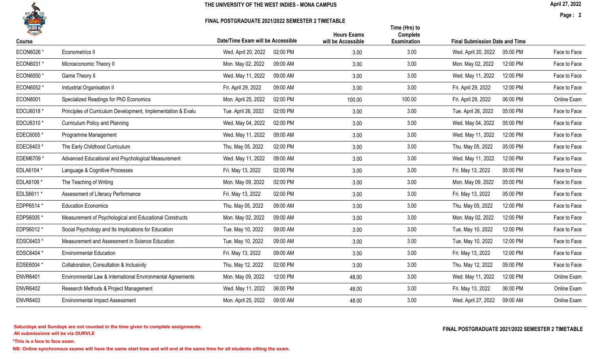

FINAL POSTGRADUATE 2021/2022 SEMESTER 2 TIMETABLE

April 27, 2022

Page : 2

|                 |                                                              |                                   | <b>Hours Exams</b> | Time (Hrs) to<br>Complete |                                       |          |              |
|-----------------|--------------------------------------------------------------|-----------------------------------|--------------------|---------------------------|---------------------------------------|----------|--------------|
| Course          |                                                              | Date/Time Exam will be Accessible | will be Accessible | <b>Examination</b>        | <b>Final Submission Date and Time</b> |          |              |
| ECON6026 *      | Econometrics II                                              | Wed. April 20, 2022<br>02:00 PM   | 3.00               | 3.00                      | Wed. April 20, 2022                   | 05:00 PM | Face to Face |
| ECON6031 *      | Microeconomic Theory II                                      | 09:00 AM<br>Mon. May 02, 2022     | 3.00               | 3.00                      | Mon. May 02, 2022                     | 12:00 PM | Face to Face |
| ECON6050*       | Game Theory II                                               | Wed. May 11, 2022<br>09:00 AM     | 3.00               | 3.00                      | Wed. May 11, 2022                     | 12:00 PM | Face to Face |
| ECON6052 *      | Industrial Organisation II                                   | Fri. April 29, 2022<br>09:00 AM   | 3.00               | 3.00                      | Fri. April 29, 2022                   | 12:00 PM | Face to Face |
| <b>ECON8001</b> | Specialized Readings for PhD Economics                       | 02:00 PM<br>Mon. April 25, 2022   | 100.00             | 100.00                    | Fri. April 29, 2022                   | 06:00 PM | Online Exam  |
| EDCU6018 *      | Principles of Curriculum Development, Implementation & Evalu | Tue. April 26, 2022<br>02:00 PM   | 3.00               | 3.00                      | Tue. April 26, 2022                   | 05:00 PM | Face to Face |
| EDCU6310 *      | Curriculum Policy and Planning                               | 02:00 PM<br>Wed. May 04, 2022     | 3.00               | 3.00                      | Wed. May 04, 2022                     | 05:00 PM | Face to Face |
| EDEC6005*       | Programme Management                                         | Wed. May 11, 2022<br>09:00 AM     | 3.00               | 3.00                      | Wed. May 11, 2022                     | 12:00 PM | Face to Face |
| EDEC6403*       | The Early Childhood Curriculum                               | Thu. May 05, 2022<br>02:00 PM     | 3.00               | 3.00                      | Thu. May 05, 2022                     | 05:00 PM | Face to Face |
| EDEM6709 *      | Advanced Educational and Psychological Measurement           | Wed. May 11, 2022<br>09:00 AM     | 3.00               | 3.00                      | Wed. May 11, 2022                     | 12:00 PM | Face to Face |
| EDLA6104 *      | Language & Cognitive Processes                               | 02:00 PM<br>Fri. May 13, 2022     | 3.00               | 3.00                      | Fri. May 13, 2022                     | 05:00 PM | Face to Face |
| EDLA6106 *      | The Teaching of Writing                                      | Mon. May 09, 2022<br>02:00 PM     | 3.00               | 3.00                      | Mon. May 09, 2022                     | 05:00 PM | Face to Face |
| EDLS6611 *      | Assessment of Literacy Performance                           | 02:00 PM<br>Fri. May 13, 2022     | 3.00               | 3.00                      | Fri. May 13, 2022                     | 05:00 PM | Face to Face |
| EDPP6514 *      | <b>Education Economics</b>                                   | Thu. May 05, 2022<br>09:00 AM     | 3.00               | 3.00                      | Thu. May 05, 2022                     | 12:00 PM | Face to Face |
| EDPS6005*       | Measurement of Psychological and Educational Constructs      | Mon. May 02, 2022<br>09:00 AM     | 3.00               | 3.00                      | Mon. May 02, 2022                     | 12:00 PM | Face to Face |
| EDPS6012 *      | Social Psychology and Its Implications for Education         | 09:00 AM<br>Tue. May 10, 2022     | 3.00               | 3.00                      | Tue. May 10, 2022                     | 12:00 PM | Face to Face |
| EDSC6403 *      | Measurement and Assessment in Science Education              | Tue. May 10, 2022<br>09:00 AM     | 3.00               | 3.00                      | Tue. May 10, 2022                     | 12:00 PM | Face to Face |
| EDSC6404 *      | <b>Environmental Education</b>                               | 09:00 AM<br>Fri. May 13, 2022     | 3.00               | 3.00                      | Fri. May 13, 2022                     | 12:00 PM | Face to Face |
| EDSE6004 *      | Collaboration, Consultation & Inclusivity                    | Thu. May 12, 2022<br>02:00 PM     | 3.00               | 3.00                      | Thu. May 12, 2022                     | 05:00 PM | Face to Face |
| <b>ENVR6401</b> | Environmental Law & International Environmental Agreements   | Mon. May 09, 2022<br>12:00 PM     | 48.00              | 3.00                      | Wed. May 11, 2022                     | 12:00 PM | Online Exam  |
| <b>ENVR6402</b> | Research Methods & Project Management                        | Wed. May 11, 2022<br>06:00 PM     | 48.00              | 3.00                      | Fri. May 13, 2022                     | 06:00 PM | Online Exam  |
| <b>ENVR6403</b> | <b>Environmental Impact Assessment</b>                       | Mon. April 25, 2022<br>09:00 AM   | 48.00              | 3.00                      | Wed. April 27, 2022                   | 09:00 AM | Online Exam  |

All submissions will be via OURVLE Saturdays and Sundays are not counted in the time given to complete assignments. The substitution of the time of the time given to complete assignments. The example of the set of the time  $\Gamma$  and  $\Gamma$  and  $\Gamma$  and  $\Gamma$  an

\*This is a face to face exam.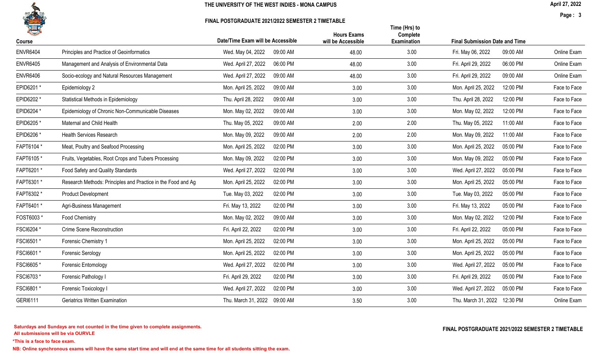

FINAL POSTGRADUATE 2021/2022 SEMESTER 2 TIMETABLE

Page : 3

|                 |                                                              |                                   | <b>Hours Exams</b> | Time (Hrs) to<br>Complete |                                       |              |
|-----------------|--------------------------------------------------------------|-----------------------------------|--------------------|---------------------------|---------------------------------------|--------------|
| Course          |                                                              | Date/Time Exam will be Accessible | will be Accessible | <b>Examination</b>        | <b>Final Submission Date and Time</b> |              |
| <b>ENVR6404</b> | Principles and Practice of Geoinformatics                    | Wed. May 04, 2022<br>09:00 AM     | 48.00              | 3.00                      | 09:00 AM<br>Fri. May 06, 2022         | Online Exam  |
| <b>ENVR6405</b> | Management and Analysis of Environmental Data                | Wed. April 27, 2022<br>06:00 PM   | 48.00              | 3.00                      | 06:00 PM<br>Fri. April 29, 2022       | Online Exam  |
| <b>ENVR6406</b> | Socio-ecology and Natural Resources Management               | Wed. April 27, 2022<br>09:00 AM   | 48.00              | 3.00                      | 09:00 AM<br>Fri. April 29, 2022       | Online Exam  |
| EPID6201*       | Epidemiology 2                                               | Mon. April 25, 2022<br>09:00 AM   | 3.00               | 3.00                      | Mon. April 25, 2022<br>12:00 PM       | Face to Face |
| EPID6202*       | Statistical Methods in Epidemiology                          | Thu. April 28, 2022<br>09:00 AM   | 3.00               | 3.00                      | Thu. April 28, 2022<br>12:00 PM       | Face to Face |
| EPID6204 *      | Epidemiology of Chronic Non-Communicable Diseases            | Mon. May 02, 2022<br>09:00 AM     | 3.00               | 3.00                      | Mon. May 02, 2022<br>12:00 PM         | Face to Face |
| EPID6205*       | Maternal and Child Health                                    | Thu. May 05, 2022<br>09:00 AM     | 2.00               | 2.00                      | Thu. May 05, 2022<br>11:00 AM         | Face to Face |
| EPID6206 *      | <b>Health Services Research</b>                              | 09:00 AM<br>Mon. May 09, 2022     | 2.00               | 2.00                      | 11:00 AM<br>Mon. May 09, 2022         | Face to Face |
| FAPT6104 *      | Meat, Poultry and Seafood Processing                         | Mon. April 25, 2022<br>02:00 PM   | 3.00               | 3.00                      | Mon. April 25, 2022<br>05:00 PM       | Face to Face |
| FAPT6105*       | Fruits, Vegetables, Root Crops and Tubers Processing         | 02:00 PM<br>Mon. May 09, 2022     | 3.00               | 3.00                      | 05:00 PM<br>Mon. May 09, 2022         | Face to Face |
| FAPT6201*       | Food Safety and Quality Standards                            | Wed. April 27, 2022<br>02:00 PM   | 3.00               | 3.00                      | Wed. April 27, 2022<br>05:00 PM       | Face to Face |
| FAPT6301*       | Research Methods: Principles and Practice in the Food and Ag | Mon. April 25, 2022<br>02:00 PM   | 3.00               | 3.00                      | Mon. April 25, 2022<br>05:00 PM       | Face to Face |
| FAPT6302 *      | <b>Product Development</b>                                   | Tue. May 03, 2022<br>02:00 PM     | 3.00               | 3.00                      | Tue. May 03, 2022<br>05:00 PM         | Face to Face |
| FAPT6401*       | Agri-Business Management                                     | Fri. May 13, 2022<br>02:00 PM     | 3.00               | 3.00                      | Fri. May 13, 2022<br>05:00 PM         | Face to Face |
| FOST6003 *      | Food Chemistry                                               | Mon. May 02, 2022<br>09:00 AM     | 3.00               | 3.00                      | 12:00 PM<br>Mon. May 02, 2022         | Face to Face |
| FSCI6204 *      | <b>Crime Scene Reconstruction</b>                            | Fri. April 22, 2022<br>02:00 PM   | 3.00               | 3.00                      | Fri. April 22, 2022<br>05:00 PM       | Face to Face |
| FSCI6501 *      | Forensic Chemistry 1                                         | Mon. April 25, 2022<br>02:00 PM   | 3.00               | 3.00                      | Mon. April 25, 2022<br>05:00 PM       | Face to Face |
| FSCI6601*       | <b>Forensic Serology</b>                                     | 02:00 PM<br>Mon. April 25, 2022   | 3.00               | 3.00                      | 05:00 PM<br>Mon. April 25, 2022       | Face to Face |
| FSCI6605*       | Forensic Entomology                                          | 02:00 PM<br>Wed. April 27, 2022   | 3.00               | 3.00                      | 05:00 PM<br>Wed. April 27, 2022       | Face to Face |
| FSCI6703*       | Forensic Pathology I                                         | Fri. April 29, 2022<br>02:00 PM   | 3.00               | 3.00                      | Fri. April 29, 2022<br>05:00 PM       | Face to Face |
| FSCI6801*       | Forensic Toxicology I                                        | Wed. April 27, 2022<br>02:00 PM   | 3.00               | 3.00                      | Wed. April 27, 2022<br>05:00 PM       | Face to Face |
| GERI6111        | Geriatrics Written Examination                               | Thu. March 31, 2022<br>09:00 AM   | 3.50               | 3.00                      | Thu. March 31, 2022 12:30 PM          | Online Exam  |

\*This is a face to face exam.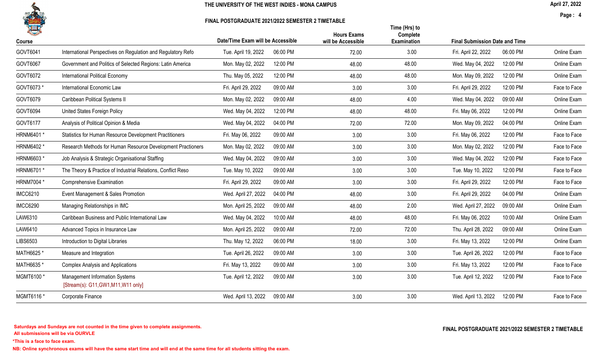

FINAL POSTGRADUATE 2021/2022 SEMESTER 2 TIMETABLE

Page : 4

| Course          |                                                                        | Date/Time Exam will be Accessible |          | <b>Hours Exams</b><br>will be Accessible | Time (Hrs) to<br>Complete<br>Examination | <b>Final Submission Date and Time</b> |          |              |
|-----------------|------------------------------------------------------------------------|-----------------------------------|----------|------------------------------------------|------------------------------------------|---------------------------------------|----------|--------------|
| GOVT6041        | International Perspectives on Regulation and Regulatory Refo           | Tue. April 19, 2022               | 06:00 PM | 72.00                                    | 3.00                                     | Fri. April 22, 2022                   | 06:00 PM | Online Exam  |
| GOVT6067        | Government and Politics of Selected Regions: Latin America             | Mon. May 02, 2022                 | 12:00 PM | 48.00                                    | 48.00                                    | Wed. May 04, 2022                     | 12:00 PM | Online Exam  |
| GOVT6072        | International Political Economy                                        | Thu. May 05, 2022                 | 12:00 PM | 48.00                                    | 48.00                                    | Mon. May 09, 2022                     | 12:00 PM | Online Exam  |
| GOVT6073 *      | International Economic Law                                             | Fri. April 29, 2022               | 09:00 AM | 3.00                                     | 3.00                                     | Fri. April 29, 2022                   | 12:00 PM | Face to Face |
| GOVT6079        | Caribbean Political Systems II                                         | Mon. May 02, 2022                 | 09:00 AM | 48.00                                    | 4.00                                     | Wed. May 04, 2022                     | 09:00 AM | Online Exam  |
| GOVT6094        | United States Foreign Policy                                           | Wed. May 04, 2022                 | 12:00 PM | 48.00                                    | 48.00                                    | Fri. May 06, 2022                     | 12:00 PM | Online Exam  |
| GOVT6177        | Analysis of Political Opinion & Media                                  | Wed. May 04, 2022                 | 04:00 PM | 72.00                                    | 72.00                                    | Mon. May 09, 2022                     | 04:00 PM | Online Exam  |
| HRNM6401 *      | Statistics for Human Resource Development Practitioners                | Fri. May 06, 2022                 | 09:00 AM | 3.00                                     | 3.00                                     | Fri. May 06, 2022                     | 12:00 PM | Face to Face |
| HRNM6402 *      | Research Methods for Human Resource Development Practioners            | Mon. May 02, 2022                 | 09:00 AM | 3.00                                     | 3.00                                     | Mon. May 02, 2022                     | 12:00 PM | Face to Face |
| HRNM6603 *      | Job Analysis & Strategic Organisational Staffing                       | Wed. May 04, 2022                 | 09:00 AM | 3.00                                     | 3.00                                     | Wed. May 04, 2022                     | 12:00 PM | Face to Face |
| HRNM6701 *      | The Theory & Practice of Industrial Relations, Conflict Reso           | Tue. May 10, 2022                 | 09:00 AM | 3.00                                     | 3.00                                     | Tue. May 10, 2022                     | 12:00 PM | Face to Face |
| HRNM7004 *      | Comprehensive Examination                                              | Fri. April 29, 2022               | 09:00 AM | 3.00                                     | 3.00                                     | Fri. April 29, 2022                   | 12:00 PM | Face to Face |
| <b>IMCC6210</b> | Event Management & Sales Promotion                                     | Wed. April 27, 2022               | 04:00 PM | 48.00                                    | 3.00                                     | Fri. April 29, 2022                   | 04:00 PM | Online Exam  |
| <b>IMCC6290</b> | Managing Relationships in IMC                                          | Mon. April 25, 2022               | 09:00 AM | 48.00                                    | 2.00                                     | Wed. April 27, 2022                   | 09:00 AM | Online Exam  |
| LAW6310         | Caribbean Business and Public International Law                        | Wed. May 04, 2022                 | 10:00 AM | 48.00                                    | 48.00                                    | Fri. May 06, 2022                     | 10:00 AM | Online Exam  |
| LAW6410         | Advanced Topics in Insurance Law                                       | Mon. April 25, 2022               | 09:00 AM | 72.00                                    | 72.00                                    | Thu. April 28, 2022                   | 09:00 AM | Online Exam  |
| LIBS6503        | Introduction to Digital Libraries                                      | Thu. May 12, 2022                 | 06:00 PM | 18.00                                    | 3.00                                     | Fri. May 13, 2022                     | 12:00 PM | Online Exam  |
| MATH6625 *      | Measure and Integration                                                | Tue. April 26, 2022               | 09:00 AM | 3.00                                     | 3.00                                     | Tue. April 26, 2022                   | 12:00 PM | Face to Face |
| MATH6635 *      | <b>Complex Analysis and Applications</b>                               | Fri. May 13, 2022                 | 09:00 AM | 3.00                                     | 3.00                                     | Fri. May 13, 2022                     | 12:00 PM | Face to Face |
| MGMT6100*       | Management Information Systems<br>[Stream(s): G11, GW1, M11, W11 only] | Tue. April 12, 2022               | 09:00 AM | 3.00                                     | 3.00                                     | Tue. April 12, 2022                   | 12:00 PM | Face to Face |
| MGMT6116 *      | Corporate Finance                                                      | Wed. April 13, 2022               | 09:00 AM | 3.00                                     | 3.00                                     | Wed. April 13, 2022                   | 12:00 PM | Face to Face |

All submissions will be via OURVLE Saturdays and Sundays are not counted in the time given to complete assignments. The substitution of the time of the time given to complete assignments. The example of the set of the time  $\Gamma$  and  $\Gamma$  and  $\Gamma$  and  $\Gamma$  an

\*This is a face to face exam.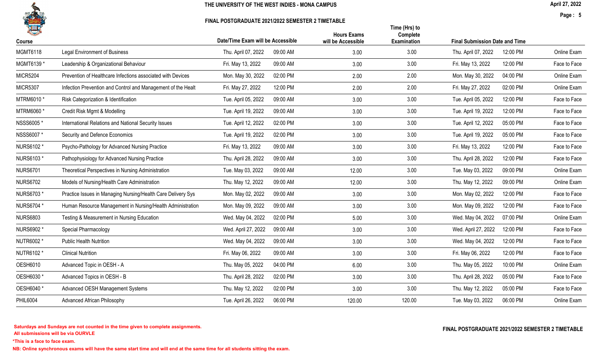

FINAL POSTGRADUATE 2021/2022 SEMESTER 2 TIMETABLE

Page : 5

| 一<br>Course     |                                                              | Date/Time Exam will be Accessible |          | <b>Hours Exams</b><br>will be Accessible | Time (Hrs) to<br>Complete<br><b>Examination</b> | <b>Final Submission Date and Time</b> |          |              |
|-----------------|--------------------------------------------------------------|-----------------------------------|----------|------------------------------------------|-------------------------------------------------|---------------------------------------|----------|--------------|
| <b>MGMT6118</b> | <b>Legal Environment of Business</b>                         | Thu. April 07, 2022               | 09:00 AM | 3.00                                     | 3.00                                            | Thu. April 07, 2022                   | 12:00 PM | Online Exam  |
| MGMT6139 *      | Leadership & Organizational Behaviour                        | Fri. May 13, 2022                 | 09:00 AM | 3.00                                     | 3.00                                            | Fri. May 13, 2022                     | 12:00 PM | Face to Face |
| <b>MICR5204</b> | Prevention of Healthcare Infections associated with Devices  | Mon. May 30, 2022                 | 02:00 PM | 2.00                                     | 2.00                                            | Mon. May 30, 2022                     | 04:00 PM | Online Exam  |
| <b>MICR5307</b> | Infection Prevention and Control and Management of the Healt | Fri. May 27, 2022                 | 12:00 PM | 2.00                                     | 2.00                                            | Fri. May 27, 2022                     | 02:00 PM | Online Exam  |
| MTRM6010 *      | Risk Categorization & Identification                         | Tue. April 05, 2022               | 09:00 AM | 3.00                                     | 3.00                                            | Tue. April 05, 2022                   | 12:00 PM | Face to Face |
| MTRM6060 *      | Credit Risk Mgmt & Modelling                                 | Tue. April 19, 2022               | 09:00 AM | 3.00                                     | 3.00                                            | Tue. April 19, 2022                   | 12:00 PM | Face to Face |
| NSSS6005*       | International Relations and National Security Issues         | Tue. April 12, 2022               | 02:00 PM | 3.00                                     | 3.00                                            | Tue. April 12, 2022                   | 05:00 PM | Face to Face |
| NSSS6007 *      | Security and Defence Economics                               | Tue. April 19, 2022               | 02:00 PM | 3.00                                     | 3.00                                            | Tue. April 19, 2022                   | 05:00 PM | Face to Face |
| NURS6102 *      | Psycho-Pathology for Advanced Nursing Practice               | Fri. May 13, 2022                 | 09:00 AM | 3.00                                     | 3.00                                            | Fri. May 13, 2022                     | 12:00 PM | Face to Face |
| NURS6103 *      | Pathophysiology for Advanced Nursing Practice                | Thu. April 28, 2022               | 09:00 AM | 3.00                                     | 3.00                                            | Thu. April 28, 2022                   | 12:00 PM | Face to Face |
| <b>NURS6701</b> | Theoretical Perspectives in Nursing Administration           | Tue. May 03, 2022                 | 09:00 AM | 12.00                                    | 3.00                                            | Tue. May 03, 2022                     | 09:00 PM | Online Exam  |
| <b>NURS6702</b> | Models of Nursing/Health Care Administration                 | Thu. May 12, 2022                 | 09:00 AM | 12.00                                    | 3.00                                            | Thu. May 12, 2022                     | 09:00 PM | Online Exam  |
| NURS6703 *      | Practice Issues in Managing Nursing/Health Care Delivery Sys | Mon. May 02, 2022                 | 09:00 AM | 3.00                                     | 3.00                                            | Mon. May 02, 2022                     | 12:00 PM | Face to Face |
| NURS6704 *      | Human Resource Management in Nursing/Health Administration   | Mon. May 09, 2022                 | 09:00 AM | 3.00                                     | 3.00                                            | Mon. May 09, 2022                     | 12:00 PM | Face to Face |
| <b>NURS6803</b> | Testing & Measurement in Nursing Education                   | Wed. May 04, 2022                 | 02:00 PM | 5.00                                     | 3.00                                            | Wed. May 04, 2022                     | 07:00 PM | Online Exam  |
| NURS6902 *      | Special Pharmacology                                         | Wed. April 27, 2022               | 09:00 AM | 3.00                                     | 3.00                                            | Wed. April 27, 2022                   | 12:00 PM | Face to Face |
| NUTR6002 *      | <b>Public Health Nutrition</b>                               | Wed. May 04, 2022                 | 09:00 AM | 3.00                                     | 3.00                                            | Wed. May 04, 2022                     | 12:00 PM | Face to Face |
| NUTR6102 *      | <b>Clinical Nutrition</b>                                    | Fri. May 06, 2022                 | 09:00 AM | 3.00                                     | 3.00                                            | Fri. May 06, 2022                     | 12:00 PM | Face to Face |
| <b>OESH6010</b> | Advanced Topic in OESH - A                                   | Thu. May 05, 2022                 | 04:00 PM | 6.00                                     | 3.00                                            | Thu. May 05, 2022                     | 10:00 PM | Online Exam  |
| OESH6030 *      | Advanced Topics in OESH - B                                  | Thu. April 28, 2022               | 02:00 PM | 3.00                                     | 3.00                                            | Thu. April 28, 2022                   | 05:00 PM | Face to Face |
| OESH6040 *      | Advanced OESH Management Systems                             | Thu. May 12, 2022                 | 02:00 PM | 3.00                                     | 3.00                                            | Thu. May 12, 2022                     | 05:00 PM | Face to Face |
| <b>PHIL6004</b> | <b>Advanced African Philosophy</b>                           | Tue. April 26, 2022               | 06:00 PM | 120.00                                   | 120.00                                          | Tue. May 03, 2022                     | 06:00 PM | Online Exam  |
|                 |                                                              |                                   |          |                                          |                                                 |                                       |          |              |

\*This is a face to face exam.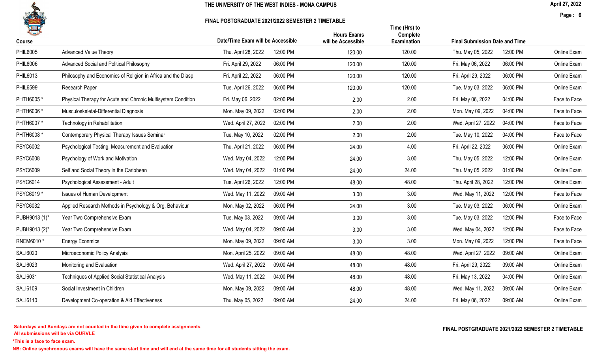

#### FINAL POSTGRADUATE 2021/2022 SEMESTER 2 TIMETABLE

Page : 6

|                 |                                                              |                                   |          | <b>Hours Exams</b> | Time (Hrs) to<br>Complete |                                       |          |              |
|-----------------|--------------------------------------------------------------|-----------------------------------|----------|--------------------|---------------------------|---------------------------------------|----------|--------------|
| Course          |                                                              | Date/Time Exam will be Accessible |          | will be Accessible | <b>Examination</b>        | <b>Final Submission Date and Time</b> |          |              |
| <b>PHIL6005</b> | <b>Advanced Value Theory</b>                                 | Thu. April 28, 2022               | 12:00 PM | 120.00             | 120.00                    | Thu. May 05, 2022                     | 12:00 PM | Online Exam  |
| <b>PHIL6006</b> | Advanced Social and Political Philosophy                     | Fri. April 29, 2022               | 06:00 PM | 120.00             | 120.00                    | Fri. May 06, 2022                     | 06:00 PM | Online Exam  |
| PHIL6013        | Philosophy and Economics of Religion in Africa and the Diasp | Fri. April 22, 2022               | 06:00 PM | 120.00             | 120.00                    | Fri. April 29, 2022                   | 06:00 PM | Online Exam  |
| <b>PHIL6599</b> | Research Paper                                               | Tue. April 26, 2022               | 06:00 PM | 120.00             | 120.00                    | Tue. May 03, 2022                     | 06:00 PM | Online Exam  |
| PHTH6005*       | Physical Therapy for Acute and Chronic Multisystem Condition | Fri. May 06, 2022                 | 02:00 PM | 2.00               | 2.00                      | Fri. May 06, 2022                     | 04:00 PM | Face to Face |
| PHTH6006 *      | Musculoskeletal-Differential Diagnosis                       | Mon. May 09, 2022                 | 02:00 PM | 2.00               | 2.00                      | Mon. May 09, 2022                     | 04:00 PM | Face to Face |
| PHTH6007 *      | Technology in Rehabilitation                                 | Wed. April 27, 2022               | 02:00 PM | 2.00               | 2.00                      | Wed. April 27, 2022                   | 04:00 PM | Face to Face |
| PHTH6008 *      | Contemporary Physical Therapy Issues Seminar                 | Tue. May 10, 2022                 | 02:00 PM | 2.00               | 2.00                      | Tue. May 10, 2022                     | 04:00 PM | Face to Face |
| <b>PSYC6002</b> | Psychological Testing, Measurement and Evaluation            | Thu. April 21, 2022               | 06:00 PM | 24.00              | 4.00                      | Fri. April 22, 2022                   | 06:00 PM | Online Exam  |
| <b>PSYC6008</b> | Psychology of Work and Motivation                            | Wed. May 04, 2022                 | 12:00 PM | 24.00              | 3.00                      | Thu. May 05, 2022                     | 12:00 PM | Online Exam  |
| <b>PSYC6009</b> | Self and Social Theory in the Caribbean                      | Wed. May 04, 2022                 | 01:00 PM | 24.00              | 24.00                     | Thu. May 05, 2022                     | 01:00 PM | Online Exam  |
| <b>PSYC6014</b> | Psychological Assessment - Adult                             | Tue. April 26, 2022               | 12:00 PM | 48.00              | 48.00                     | Thu. April 28, 2022                   | 12:00 PM | Online Exam  |
| PSYC6019*       | <b>Issues of Human Development</b>                           | Wed. May 11, 2022                 | 09:00 AM | 3.00               | 3.00                      | Wed. May 11, 2022                     | 12:00 PM | Face to Face |
| PSYC6032        | Applied Research Methods in Psychology & Org. Behaviour      | Mon. May 02, 2022                 | 06:00 PM | 24.00              | 3.00                      | Tue. May 03, 2022                     | 06:00 PM | Online Exam  |
| PUBH9013 (1)*   | Year Two Comprehensive Exam                                  | Tue. May 03, 2022                 | 09:00 AM | 3.00               | 3.00                      | Tue. May 03, 2022                     | 12:00 PM | Face to Face |
| PUBH9013 (2)*   | Year Two Comprehensive Exam                                  | Wed. May 04, 2022                 | 09:00 AM | 3.00               | 3.00                      | Wed. May 04, 2022                     | 12:00 PM | Face to Face |
| RNEM6010 *      | <b>Energy Econmics</b>                                       | Mon. May 09, 2022                 | 09:00 AM | 3.00               | 3.00                      | Mon. May 09, 2022                     | 12:00 PM | Face to Face |
| <b>SALI6020</b> | Microeconomic Policy Analysis                                | Mon. April 25, 2022               | 09:00 AM | 48.00              | 48.00                     | Wed. April 27, 2022                   | 09:00 AM | Online Exam  |
| SALI6023        | Monitoring and Evaluation                                    | Wed. April 27, 2022               | 09:00 AM | 48.00              | 48.00                     | Fri. April 29, 2022                   | 09:00 AM | Online Exam  |
| SALI6031        | Techniques of Applied Social Statistical Analysis            | Wed. May 11, 2022                 | 04:00 PM | 48.00              | 48.00                     | Fri. May 13, 2022                     | 04:00 PM | Online Exam  |
| <b>SALI6109</b> | Social Investment in Children                                | Mon. May 09, 2022                 | 09:00 AM | 48.00              | 48.00                     | Wed. May 11, 2022                     | 09:00 AM | Online Exam  |
| <b>SALI6110</b> | Development Co-operation & Aid Effectiveness                 | Thu. May 05, 2022                 | 09:00 AM | 24.00              | 24.00                     | Fri. May 06, 2022                     | 09:00 AM | Online Exam  |

All submissions will be via OURVLE Saturdays and Sundays are not counted in the time given to complete assignments. The substitution of the time of the time given to complete assignments. The example of the set of the time  $\Gamma$  and  $\Gamma$  and  $\Gamma$  and  $\Gamma$  an

\*This is a face to face exam.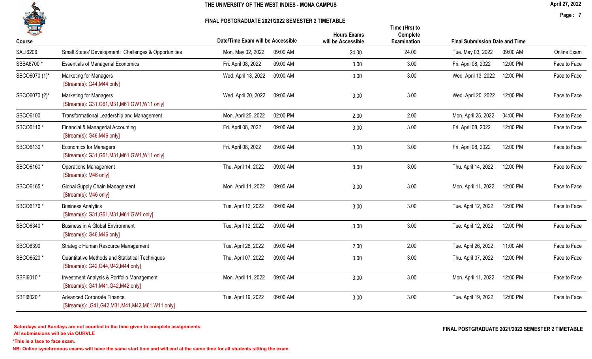

#### FINAL POSTGRADUATE 2021/2022 SEMESTER 2 TIMETABLE

Page : 7

| 七<br>Course     |                                                                                         | Date/Time Exam will be Accessible | <b>Hours Exams</b><br>will be Accessible | Time (Hrs) to<br>Complete<br><b>Examination</b> | <b>Final Submission Date and Time</b> |          |              |
|-----------------|-----------------------------------------------------------------------------------------|-----------------------------------|------------------------------------------|-------------------------------------------------|---------------------------------------|----------|--------------|
| <b>SALI6206</b> | Small States' Development: Challenges & Opportunities                                   | 09:00 AM<br>Mon. May 02, 2022     | 24.00                                    | 24.00                                           | Tue. May 03, 2022                     | 09:00 AM | Online Exam  |
| SBBA6700 *      | <b>Essentials of Managerial Economics</b>                                               | Fri. April 08, 2022<br>09:00 AM   | 3.00                                     | 3.00                                            | Fri. April 08, 2022                   | 12:00 PM | Face to Face |
| SBCO6070 (1)*   | <b>Marketing for Managers</b><br>[Stream(s): G44, M44 only]                             | Wed. April 13, 2022<br>09:00 AM   | 3.00                                     | 3.00                                            | Wed. April 13, 2022                   | 12:00 PM | Face to Face |
| SBCO6070 (2)*   | <b>Marketing for Managers</b><br>[Stream(s): G31, G61, M31, M61, GW1, W11 only]         | Wed. April 20, 2022<br>09:00 AM   | 3.00                                     | 3.00                                            | Wed. April 20, 2022                   | 12:00 PM | Face to Face |
| SBCO6100        | Transformational Leadership and Management                                              | Mon. April 25, 2022<br>02:00 PM   | 2.00                                     | 2.00                                            | Mon. April 25, 2022                   | 04:00 PM | Face to Face |
| SBCO6110 *      | Financial & Managerial Accounting<br>[Stream(s): G46, M46 only]                         | 09:00 AM<br>Fri. April 08, 2022   | 3.00                                     | 3.00                                            | Fri. April 08, 2022                   | 12:00 PM | Face to Face |
| SBCO6130 *      | <b>Economics for Managers</b><br>[Stream(s): G31, G61, M31, M61, GW1, W11 only]         | 09:00 AM<br>Fri. April 08, 2022   | 3.00                                     | 3.00                                            | Fri. April 08, 2022                   | 12:00 PM | Face to Face |
| SBCO6160 *      | <b>Operations Management</b><br>[Stream(s): M46 only]                                   | Thu. April 14, 2022<br>09:00 AM   | 3.00                                     | 3.00                                            | Thu. April 14, 2022                   | 12:00 PM | Face to Face |
| SBCO6165 *      | Global Supply Chain Management<br>[Stream(s): M46 only]                                 | Mon. April 11, 2022<br>09:00 AM   | 3.00                                     | 3.00                                            | Mon. April 11, 2022                   | 12:00 PM | Face to Face |
| SBCO6170 *      | <b>Business Analytics</b><br>[Stream(s): G31, G61, M31, M61, GW1 only]                  | Tue. April 12, 2022<br>09:00 AM   | 3.00                                     | 3.00                                            | Tue. April 12, 2022                   | 12:00 PM | Face to Face |
| SBCO6340 *      | <b>Business in A Global Environment</b><br>[Stream(s): G46, M46 only]                   | Tue. April 12, 2022<br>09:00 AM   | 3.00                                     | 3.00                                            | Tue. April 12, 2022                   | 12:00 PM | Face to Face |
| SBCO6390        | Strategic Human Resource Management                                                     | Tue. April 26, 2022<br>09:00 AM   | 2.00                                     | 2.00                                            | Tue. April 26, 2022                   | 11:00 AM | Face to Face |
| SBCO6520 *      | Quantitative Methods and Statistical Techniques<br>[Stream(s): G42, G44, M42, M44 only] | Thu. April 07, 2022<br>09:00 AM   | 3.00                                     | 3.00                                            | Thu. April 07, 2022                   | 12:00 PM | Face to Face |
| SBFI6010 *      | Investment Analysis & Portfolio Management<br>[Stream(s): G41, M41, G42, M42 only]      | 09:00 AM<br>Mon. April 11, 2022   | 3.00                                     | 3.00                                            | Mon. April 11, 2022                   | 12:00 PM | Face to Face |
| SBFI6020*       | <b>Advanced Corporate Finance</b><br>[Stream(s): ,G41,G42,M31,M41,M42,M61,W11 only]     | Tue. April 19, 2022<br>09:00 AM   | 3.00                                     | 3.00                                            | Tue. April 19, 2022                   | 12:00 PM | Face to Face |

All submissions will be via OURVLE Saturdays and Sundays are not counted in the time given to complete assignments. The substitution of the time of the time given to complete assignments. The example of the set of the time  $\Gamma$  and  $\Gamma$  and  $\Gamma$  and  $\Gamma$  an

\*This is a face to face exam.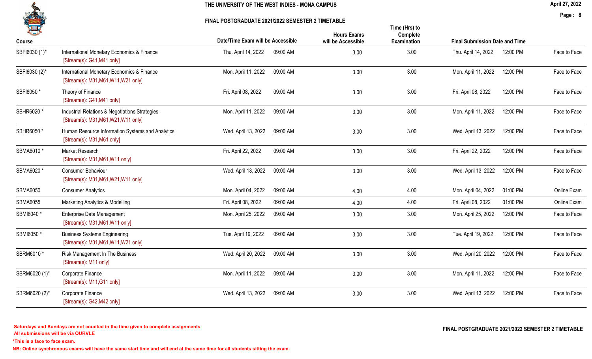#### FINAL POSTGRADUATE 2021/2022 SEMESTER 2 TIMETABLE

April 27, 2022

Page : 8

| H               |                                                                                        | Date/Time Exam will be Accessible | <b>Hours Exams</b><br>will be Accessible | Time (Hrs) to<br>Complete<br>Examination | <b>Final Submission Date and Time</b> |          |              |
|-----------------|----------------------------------------------------------------------------------------|-----------------------------------|------------------------------------------|------------------------------------------|---------------------------------------|----------|--------------|
| Course          |                                                                                        |                                   |                                          |                                          |                                       |          |              |
| SBFI6030 (1)*   | International Monetary Economics & Finance<br>[Stream(s): G41, M41 only]               | 09:00 AM<br>Thu. April 14, 2022   | 3.00                                     | 3.00                                     | Thu. April 14, 2022                   | 12:00 PM | Face to Face |
| SBFI6030 (2)*   | International Monetary Economics & Finance<br>[Stream(s): M31, M61, W11, W21 only]     | 09:00 AM<br>Mon. April 11, 2022   | 3.00                                     | 3.00                                     | Mon. April 11, 2022                   | 12:00 PM | Face to Face |
| SBFI6050*       | Theory of Finance<br>[Stream(s): G41, M41 only]                                        | Fri. April 08, 2022<br>09:00 AM   | 3.00                                     | 3.00                                     | Fri. April 08, 2022                   | 12:00 PM | Face to Face |
| SBHR6020 *      | Industrial Relations & Negotiations Strategies<br>[Stream(s): M31, M61, W21, W11 only] | 09:00 AM<br>Mon. April 11, 2022   | 3.00                                     | 3.00                                     | Mon. April 11, 2022                   | 12:00 PM | Face to Face |
| SBHR6050 *      | Human Resource Information Systems and Analytics<br>[Stream(s): M31, M61 only]         | Wed. April 13, 2022<br>09:00 AM   | 3.00                                     | 3.00                                     | Wed. April 13, 2022                   | 12:00 PM | Face to Face |
| SBMA6010 *      | Market Research<br>[Stream(s): $M31, M61, W11$ only]                                   | Fri. April 22, 2022<br>09:00 AM   | 3.00                                     | 3.00                                     | Fri. April 22, 2022                   | 12:00 PM | Face to Face |
| SBMA6020 *      | Consumer Behaviour<br>[Stream(s): M31, M61, W21, W11 only]                             | Wed. April 13, 2022<br>09:00 AM   | 3.00                                     | 3.00                                     | Wed. April 13, 2022                   | 12:00 PM | Face to Face |
| <b>SBMA6050</b> | <b>Consumer Analytics</b>                                                              | 09:00 AM<br>Mon. April 04, 2022   | 4.00                                     | 4.00                                     | Mon. April 04, 2022                   | 01:00 PM | Online Exam  |
| <b>SBMA6055</b> | Marketing Analytics & Modelling                                                        | Fri. April 08, 2022<br>09:00 AM   | 4.00                                     | 4.00                                     | Fri. April 08, 2022                   | 01:00 PM | Online Exam  |
| SBMI6040*       | Enterprise Data Management<br>[Stream(s): M31, M61, W11 only]                          | 09:00 AM<br>Mon. April 25, 2022   | 3.00                                     | 3.00                                     | Mon. April 25, 2022                   | 12:00 PM | Face to Face |
| SBMI6050*       | <b>Business Systems Engineering</b><br>[Stream(s): M31, M61, W11, W21 only]            | Tue. April 19, 2022<br>09:00 AM   | 3.00                                     | 3.00                                     | Tue. April 19, 2022                   | 12:00 PM | Face to Face |
| SBRM6010 *      | Risk Management In The Business<br>[Stream(s): M11 only]                               | Wed. April 20, 2022<br>09:00 AM   | 3.00                                     | 3.00                                     | Wed. April 20, 2022                   | 12:00 PM | Face to Face |
| SBRM6020 (1)*   | Corporate Finance<br>[Stream(s): M11, G11 only]                                        | Mon. April 11, 2022<br>09:00 AM   | 3.00                                     | 3.00                                     | Mon. April 11, 2022                   | 12:00 PM | Face to Face |
| SBRM6020 (2)*   | Corporate Finance<br>[Stream(s): G42, M42 only]                                        | Wed. April 13, 2022<br>09:00 AM   | 3.00                                     | 3.00                                     | Wed. April 13, 2022                   | 12:00 PM | Face to Face |

\*This is a face to face exam.